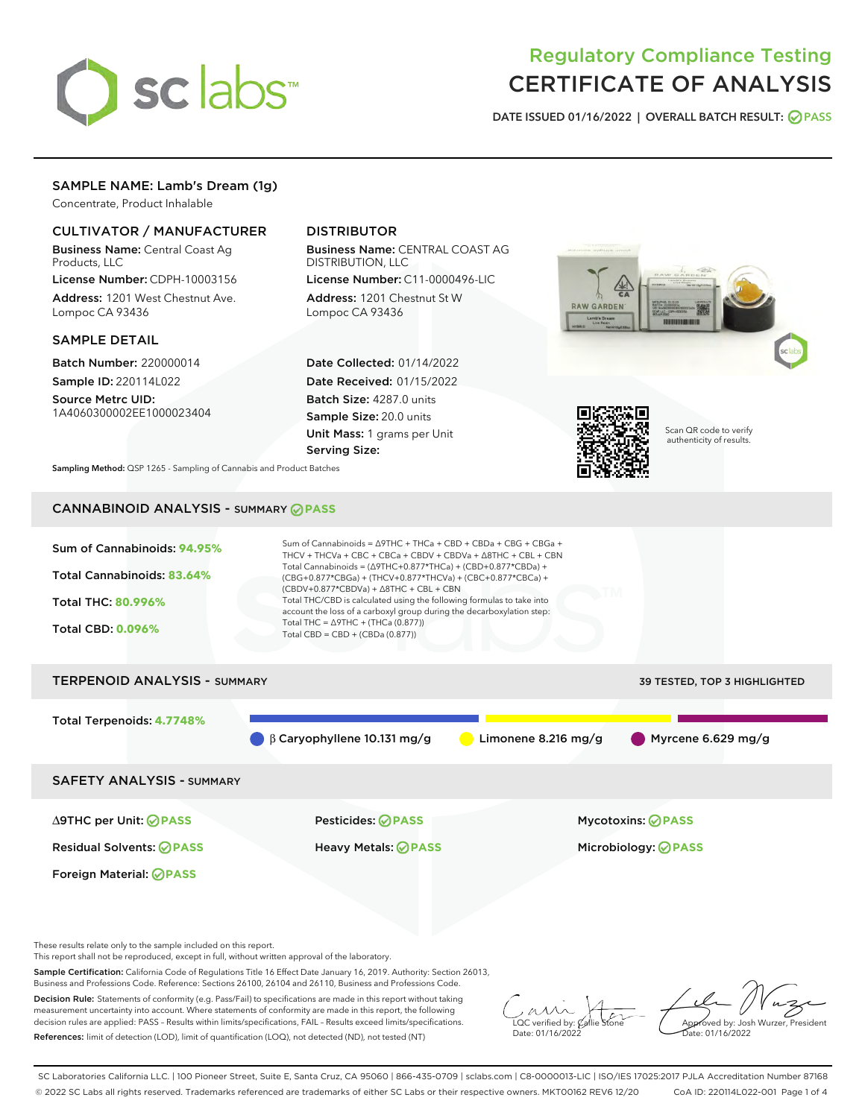

# Regulatory Compliance Testing CERTIFICATE OF ANALYSIS

DATE ISSUED 01/16/2022 | OVERALL BATCH RESULT: @ PASS

### SAMPLE NAME: Lamb's Dream (1g)

Concentrate, Product Inhalable

#### CULTIVATOR / MANUFACTURER

Business Name: Central Coast Ag Products, LLC

License Number: CDPH-10003156 Address: 1201 West Chestnut Ave. Lompoc CA 93436

#### SAMPLE DETAIL

Batch Number: 220000014 Sample ID: 220114L022

Source Metrc UID: 1A4060300002EE1000023404

## DISTRIBUTOR

Business Name: CENTRAL COAST AG DISTRIBUTION, LLC

License Number: C11-0000496-LIC Address: 1201 Chestnut St W Lompoc CA 93436

Date Collected: 01/14/2022 Date Received: 01/15/2022 Batch Size: 4287.0 units Sample Size: 20.0 units Unit Mass: 1 grams per Unit Serving Size:





Scan QR code to verify authenticity of results.

Sampling Method: QSP 1265 - Sampling of Cannabis and Product Batches

## CANNABINOID ANALYSIS - SUMMARY **PASS**



These results relate only to the sample included on this report.

This report shall not be reproduced, except in full, without written approval of the laboratory.

Sample Certification: California Code of Regulations Title 16 Effect Date January 16, 2019. Authority: Section 26013, Business and Professions Code. Reference: Sections 26100, 26104 and 26110, Business and Professions Code.

Decision Rule: Statements of conformity (e.g. Pass/Fail) to specifications are made in this report without taking measurement uncertainty into account. Where statements of conformity are made in this report, the following decision rules are applied: PASS – Results within limits/specifications, FAIL – Results exceed limits/specifications. References: limit of detection (LOD), limit of quantification (LOQ), not detected (ND), not tested (NT)

 $\overline{\text{C}}$  verified by:  $\mathcal C$ Date: 01/16/2022

**A**<br>Approved by: Josh Wurzer, President te: 01/16/2022

SC Laboratories California LLC. | 100 Pioneer Street, Suite E, Santa Cruz, CA 95060 | 866-435-0709 | sclabs.com | C8-0000013-LIC | ISO/IES 17025:2017 PJLA Accreditation Number 87168 © 2022 SC Labs all rights reserved. Trademarks referenced are trademarks of either SC Labs or their respective owners. MKT00162 REV6 12/20 CoA ID: 220114L022-001 Page 1 of 4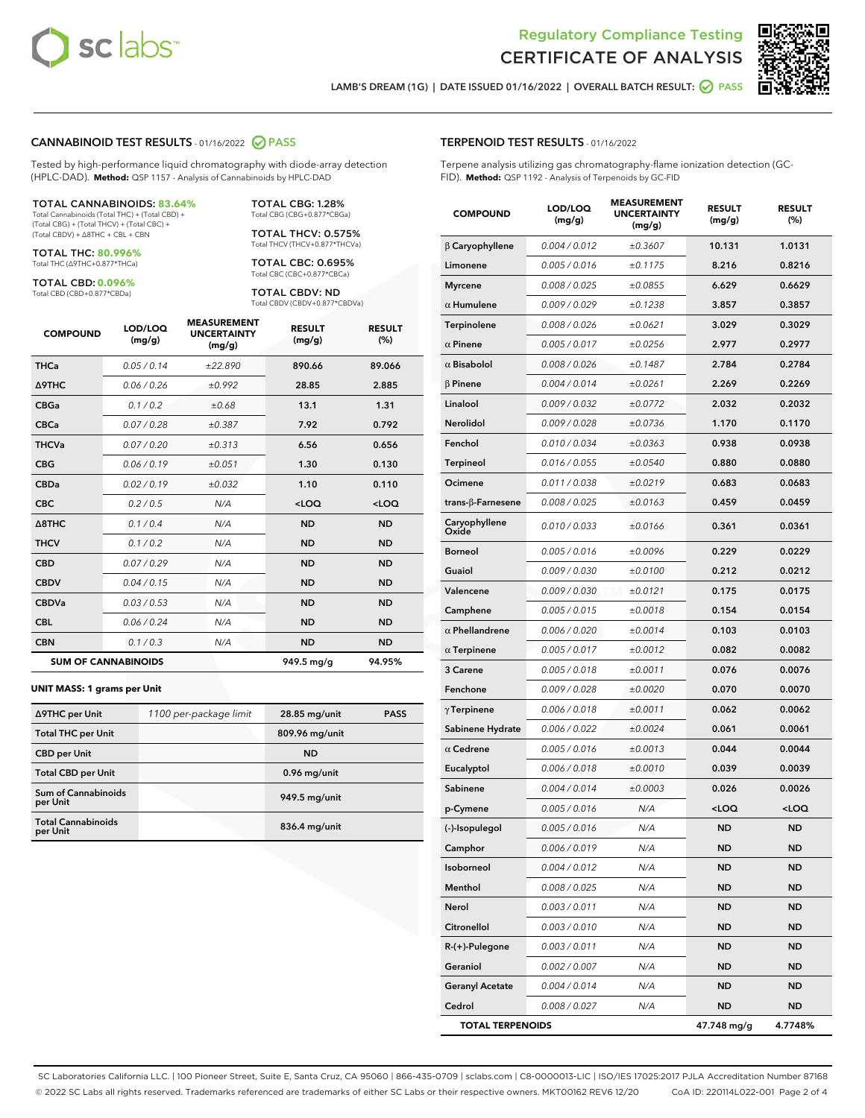



LAMB'S DREAM (1G) | DATE ISSUED 01/16/2022 | OVERALL BATCH RESULT: @ PASS

#### CANNABINOID TEST RESULTS - 01/16/2022 2 PASS

Tested by high-performance liquid chromatography with diode-array detection (HPLC-DAD). **Method:** QSP 1157 - Analysis of Cannabinoids by HPLC-DAD

#### TOTAL CANNABINOIDS: **83.64%**

Total Cannabinoids (Total THC) + (Total CBD) + (Total CBG) + (Total THCV) + (Total CBC) + (Total CBDV) + ∆8THC + CBL + CBN

TOTAL THC: **80.996%** Total THC (∆9THC+0.877\*THCa)

TOTAL CBD: **0.096%**

Total CBD (CBD+0.877\*CBDa)

TOTAL CBG: 1.28% Total CBG (CBG+0.877\*CBGa)

TOTAL THCV: 0.575% Total THCV (THCV+0.877\*THCVa)

TOTAL CBC: 0.695% Total CBC (CBC+0.877\*CBCa)

TOTAL CBDV: ND Total CBDV (CBDV+0.877\*CBDVa)

| <b>COMPOUND</b>            | LOD/LOQ<br>(mg/g) | <b>MEASUREMENT</b><br><b>UNCERTAINTY</b><br>(mg/g) | <b>RESULT</b><br>(mg/g) | <b>RESULT</b><br>(%) |
|----------------------------|-------------------|----------------------------------------------------|-------------------------|----------------------|
| <b>THCa</b>                | 0.05/0.14         | ±22.890                                            | 890.66                  | 89.066               |
| <b>A9THC</b>               | 0.06 / 0.26       | ±0.992                                             | 28.85                   | 2.885                |
| <b>CBGa</b>                | 0.1/0.2           | ±0.68                                              | 13.1                    | 1.31                 |
| <b>CBCa</b>                | 0.07/0.28         | ±0.387                                             | 7.92                    | 0.792                |
| <b>THCVa</b>               | 0.07 / 0.20       | ±0.313                                             | 6.56                    | 0.656                |
| <b>CBG</b>                 | 0.06/0.19         | ±0.051                                             | 1.30                    | 0.130                |
| <b>CBDa</b>                | 0.02/0.19         | ±0.032                                             | 1.10                    | 0.110                |
| <b>CBC</b>                 | 0.2 / 0.5         | N/A                                                | $<$ LOQ                 | $<$ LOQ              |
| A8THC                      | 0.1/0.4           | N/A                                                | <b>ND</b>               | <b>ND</b>            |
| <b>THCV</b>                | 0.1/0.2           | N/A                                                | <b>ND</b>               | <b>ND</b>            |
| <b>CBD</b>                 | 0.07/0.29         | N/A                                                | <b>ND</b>               | <b>ND</b>            |
| <b>CBDV</b>                | 0.04 / 0.15       | N/A                                                | <b>ND</b>               | <b>ND</b>            |
| <b>CBDVa</b>               | 0.03/0.53         | N/A                                                | <b>ND</b>               | <b>ND</b>            |
| <b>CBL</b>                 | 0.06 / 0.24       | N/A                                                | <b>ND</b>               | <b>ND</b>            |
| <b>CBN</b>                 | 0.1/0.3           | N/A                                                | <b>ND</b>               | <b>ND</b>            |
| <b>SUM OF CANNABINOIDS</b> |                   |                                                    | 949.5 mg/g              | 94.95%               |

#### **UNIT MASS: 1 grams per Unit**

| ∆9THC per Unit                        | 1100 per-package limit | 28.85 mg/unit   | <b>PASS</b> |
|---------------------------------------|------------------------|-----------------|-------------|
| <b>Total THC per Unit</b>             |                        | 809.96 mg/unit  |             |
| <b>CBD</b> per Unit                   |                        | <b>ND</b>       |             |
| <b>Total CBD per Unit</b>             |                        | 0.96 mg/unit    |             |
| Sum of Cannabinoids<br>per Unit       |                        | 949.5 mg/unit   |             |
| <b>Total Cannabinoids</b><br>per Unit |                        | $836.4$ mg/unit |             |

| <b>COMPOUND</b>           | LOD/LOQ<br>(mg/g) | <b>MEASUREMENT</b><br><b>UNCERTAINTY</b><br>(mg/g) | <b>RESULT</b><br>(mg/g)                         | <b>RESULT</b><br>(%) |
|---------------------------|-------------------|----------------------------------------------------|-------------------------------------------------|----------------------|
| $\beta$ Caryophyllene     | 0.004 / 0.012     | ±0.3607                                            | 10.131                                          | 1.0131               |
| Limonene                  | 0.005 / 0.016     | ±0.1175                                            | 8.216                                           | 0.8216               |
| <b>Myrcene</b>            | 0.008 / 0.025     | ±0.0855                                            | 6.629                                           | 0.6629               |
| $\alpha$ Humulene         | 0.009 / 0.029     | ±0.1238                                            | 3.857                                           | 0.3857               |
| Terpinolene               | 0.008 / 0.026     | ±0.0621                                            | 3.029                                           | 0.3029               |
| $\alpha$ Pinene           | 0.005 / 0.017     | ±0.0256                                            | 2.977                                           | 0.2977               |
| $\alpha$ Bisabolol        | 0.008 / 0.026     | ±0.1487                                            | 2.784                                           | 0.2784               |
| $\beta$ Pinene            | 0.004 / 0.014     | ±0.0261                                            | 2.269                                           | 0.2269               |
| Linalool                  | 0.009 / 0.032     | ±0.0772                                            | 2.032                                           | 0.2032               |
| <b>Nerolidol</b>          | 0.009 / 0.028     | ±0.0736                                            | 1.170                                           | 0.1170               |
| Fenchol                   | 0.010 / 0.034     | ±0.0363                                            | 0.938                                           | 0.0938               |
| Terpineol                 | 0.016 / 0.055     | ±0.0540                                            | 0.880                                           | 0.0880               |
| Ocimene                   | 0.011 / 0.038     | ±0.0219                                            | 0.683                                           | 0.0683               |
| trans- $\beta$ -Farnesene | 0.008 / 0.025     | ±0.0163                                            | 0.459                                           | 0.0459               |
| Caryophyllene<br>Oxide    | 0.010 / 0.033     | ±0.0166                                            | 0.361                                           | 0.0361               |
| Borneol                   | 0.005 / 0.016     | ±0.0096                                            | 0.229                                           | 0.0229               |
| Guaiol                    | 0.009 / 0.030     | ±0.0100                                            | 0.212                                           | 0.0212               |
| Valencene                 | 0.009 / 0.030     | ±0.0121                                            | 0.175                                           | 0.0175               |
| Camphene                  | 0.005 / 0.015     | ±0.0018                                            | 0.154                                           | 0.0154               |
| $\alpha$ Phellandrene     | 0.006 / 0.020     | ±0.0014                                            | 0.103                                           | 0.0103               |
| $\alpha$ Terpinene        | 0.005 / 0.017     | ±0.0012                                            | 0.082                                           | 0.0082               |
| <b>3 Carene</b>           | 0.005 / 0.018     | ±0.0011                                            | 0.076                                           | 0.0076               |
| Fenchone                  | 0.009 / 0.028     | ±0.0020                                            | 0.070                                           | 0.0070               |
| $\gamma$ Terpinene        | 0.006 / 0.018     | ±0.0011                                            | 0.062                                           | 0.0062               |
| Sabinene Hydrate          | 0.006 / 0.022     | ±0.0024                                            | 0.061                                           | 0.0061               |
| $\alpha$ Cedrene          | 0.005 / 0.016     | ±0.0013                                            | 0.044                                           | 0.0044               |
| Eucalyptol                | 0.006 / 0.018     | ±0.0010                                            | 0.039                                           | 0.0039               |
| Sabinene                  | 0.004 / 0.014     | ±0.0003                                            | 0.026                                           | 0.0026               |
| p-Cymene                  | 0.005 / 0.016     | N/A                                                | <loq< th=""><th><loq< th=""></loq<></th></loq<> | <loq< th=""></loq<>  |
| (-)-Isopulegol            | 0.005 / 0.016     | N/A                                                | <b>ND</b>                                       | ND                   |
| Camphor                   | 0.006 / 0.019     | N/A                                                | <b>ND</b>                                       | ND                   |
| Isoborneol                | 0.004 / 0.012     | N/A                                                | ND                                              | ND                   |
| Menthol                   | 0.008 / 0.025     | N/A                                                | ND                                              | ND                   |
| Nerol                     | 0.003 / 0.011     | N/A                                                | <b>ND</b>                                       | ND                   |
| Citronellol               | 0.003 / 0.010     | N/A                                                | ND                                              | ND                   |
| R-(+)-Pulegone            | 0.003 / 0.011     | N/A                                                | ND                                              | ND                   |
| Geraniol                  | 0.002 / 0.007     | N/A                                                | <b>ND</b>                                       | ND                   |
| <b>Geranyl Acetate</b>    | 0.004 / 0.014     | N/A                                                | ND                                              | ND                   |
| Cedrol                    | 0.008 / 0.027     | N/A                                                | ND                                              | <b>ND</b>            |

TOTAL TERPENOIDS 47.748 mg/g 4.7748%

SC Laboratories California LLC. | 100 Pioneer Street, Suite E, Santa Cruz, CA 95060 | 866-435-0709 | sclabs.com | C8-0000013-LIC | ISO/IES 17025:2017 PJLA Accreditation Number 87168 © 2022 SC Labs all rights reserved. Trademarks referenced are trademarks of either SC Labs or their respective owners. MKT00162 REV6 12/20 CoA ID: 220114L022-001 Page 2 of 4

#### TERPENOID TEST RESULTS - 01/16/2022

Terpene analysis utilizing gas chromatography-flame ionization detection (GC-FID). **Method:** QSP 1192 - Analysis of Terpenoids by GC-FID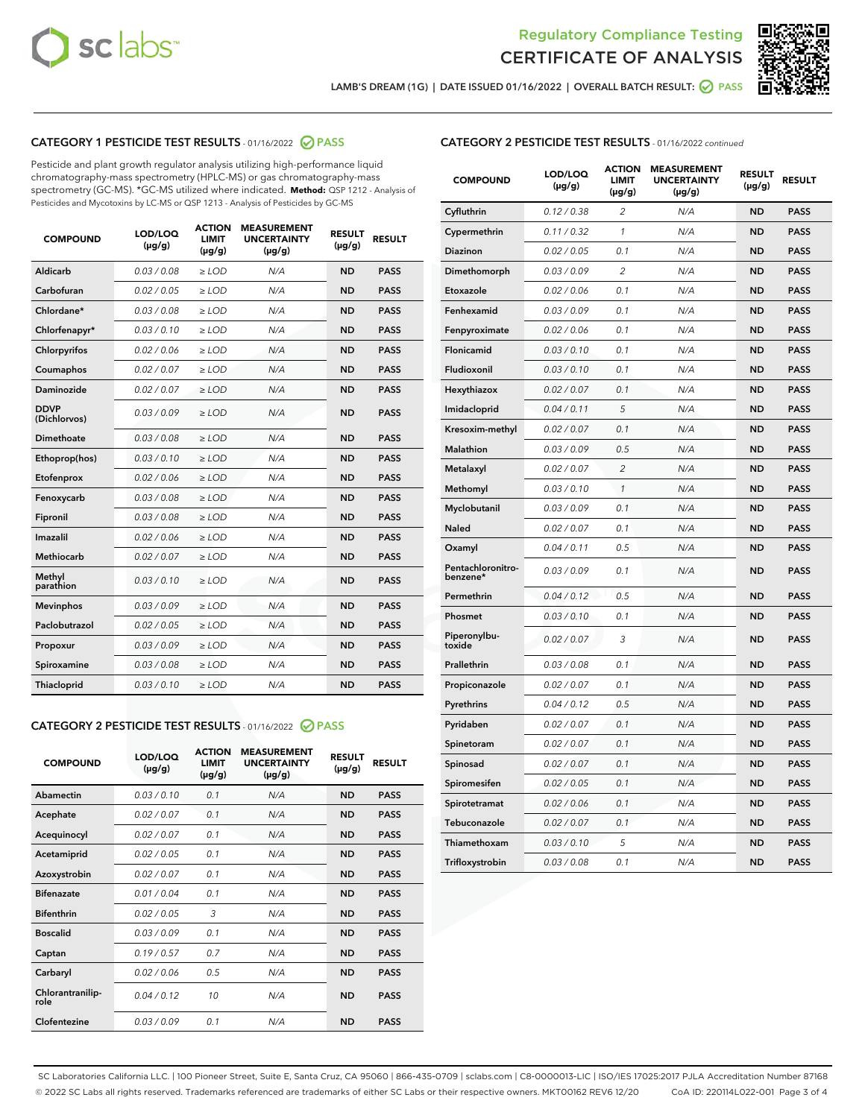



LAMB'S DREAM (1G) | DATE ISSUED 01/16/2022 | OVERALL BATCH RESULT:  $\bigcirc$  PASS

### CATEGORY 1 PESTICIDE TEST RESULTS - 01/16/2022 2 PASS

Pesticide and plant growth regulator analysis utilizing high-performance liquid chromatography-mass spectrometry (HPLC-MS) or gas chromatography-mass spectrometry (GC-MS). \*GC-MS utilized where indicated. **Method:** QSP 1212 - Analysis of Pesticides and Mycotoxins by LC-MS or QSP 1213 - Analysis of Pesticides by GC-MS

| <b>COMPOUND</b>             | LOD/LOQ<br>$(\mu g/g)$ | <b>ACTION</b><br><b>LIMIT</b><br>$(\mu g/g)$ | <b>MEASUREMENT</b><br><b>UNCERTAINTY</b><br>$(\mu g/g)$ | <b>RESULT</b><br>$(\mu g/g)$ | <b>RESULT</b> |
|-----------------------------|------------------------|----------------------------------------------|---------------------------------------------------------|------------------------------|---------------|
| Aldicarb                    | 0.03 / 0.08            | $\ge$ LOD                                    | N/A                                                     | <b>ND</b>                    | <b>PASS</b>   |
| Carbofuran                  | 0.02 / 0.05            | $\ge$ LOD                                    | N/A                                                     | <b>ND</b>                    | <b>PASS</b>   |
| Chlordane*                  | 0.03 / 0.08            | $\ge$ LOD                                    | N/A                                                     | <b>ND</b>                    | <b>PASS</b>   |
| Chlorfenapyr*               | 0.03/0.10              | $\ge$ LOD                                    | N/A                                                     | <b>ND</b>                    | <b>PASS</b>   |
| Chlorpyrifos                | 0.02 / 0.06            | $\ge$ LOD                                    | N/A                                                     | <b>ND</b>                    | <b>PASS</b>   |
| Coumaphos                   | 0.02 / 0.07            | $\ge$ LOD                                    | N/A                                                     | <b>ND</b>                    | <b>PASS</b>   |
| Daminozide                  | 0.02 / 0.07            | $\ge$ LOD                                    | N/A                                                     | <b>ND</b>                    | <b>PASS</b>   |
| <b>DDVP</b><br>(Dichlorvos) | 0.03/0.09              | $>$ LOD                                      | N/A                                                     | <b>ND</b>                    | <b>PASS</b>   |
| Dimethoate                  | 0.03 / 0.08            | $\ge$ LOD                                    | N/A                                                     | <b>ND</b>                    | <b>PASS</b>   |
| Ethoprop(hos)               | 0.03/0.10              | $>$ LOD                                      | N/A                                                     | <b>ND</b>                    | <b>PASS</b>   |
| Etofenprox                  | 0.02 / 0.06            | $\ge$ LOD                                    | N/A                                                     | <b>ND</b>                    | <b>PASS</b>   |
| Fenoxycarb                  | 0.03 / 0.08            | $\ge$ LOD                                    | N/A                                                     | <b>ND</b>                    | <b>PASS</b>   |
| Fipronil                    | 0.03 / 0.08            | $\ge$ LOD                                    | N/A                                                     | <b>ND</b>                    | <b>PASS</b>   |
| Imazalil                    | 0.02 / 0.06            | $>$ LOD                                      | N/A                                                     | <b>ND</b>                    | <b>PASS</b>   |
| <b>Methiocarb</b>           | 0.02 / 0.07            | $\ge$ LOD                                    | N/A                                                     | <b>ND</b>                    | <b>PASS</b>   |
| Methyl<br>parathion         | 0.03/0.10              | $\ge$ LOD                                    | N/A                                                     | <b>ND</b>                    | <b>PASS</b>   |
| <b>Mevinphos</b>            | 0.03/0.09              | $\ge$ LOD                                    | N/A                                                     | <b>ND</b>                    | <b>PASS</b>   |
| Paclobutrazol               | 0.02 / 0.05            | $>$ LOD                                      | N/A                                                     | <b>ND</b>                    | <b>PASS</b>   |
| Propoxur                    | 0.03/0.09              | $\ge$ LOD                                    | N/A                                                     | <b>ND</b>                    | <b>PASS</b>   |
| Spiroxamine                 | 0.03 / 0.08            | $\ge$ LOD                                    | N/A                                                     | <b>ND</b>                    | <b>PASS</b>   |
| Thiacloprid                 | 0.03/0.10              | $\ge$ LOD                                    | N/A                                                     | <b>ND</b>                    | <b>PASS</b>   |

#### CATEGORY 2 PESTICIDE TEST RESULTS - 01/16/2022 2 PASS

| <b>COMPOUND</b>          | LOD/LOQ<br>$(\mu g/g)$ | <b>ACTION</b><br><b>LIMIT</b><br>$(\mu g/g)$ | <b>MEASUREMENT</b><br><b>UNCERTAINTY</b><br>$(\mu g/g)$ | <b>RESULT</b><br>$(\mu g/g)$ | <b>RESULT</b> |
|--------------------------|------------------------|----------------------------------------------|---------------------------------------------------------|------------------------------|---------------|
| Abamectin                | 0.03/0.10              | 0.1                                          | N/A                                                     | <b>ND</b>                    | <b>PASS</b>   |
| Acephate                 | 0.02/0.07              | 0.1                                          | N/A                                                     | <b>ND</b>                    | <b>PASS</b>   |
| Acequinocyl              | 0.02/0.07              | 0.1                                          | N/A                                                     | <b>ND</b>                    | <b>PASS</b>   |
| Acetamiprid              | 0.02/0.05              | 0.1                                          | N/A                                                     | <b>ND</b>                    | <b>PASS</b>   |
| Azoxystrobin             | 0.02/0.07              | 0.1                                          | N/A                                                     | <b>ND</b>                    | <b>PASS</b>   |
| <b>Bifenazate</b>        | 0.01/0.04              | 0.1                                          | N/A                                                     | <b>ND</b>                    | <b>PASS</b>   |
| <b>Bifenthrin</b>        | 0.02 / 0.05            | 3                                            | N/A                                                     | <b>ND</b>                    | <b>PASS</b>   |
| <b>Boscalid</b>          | 0.03/0.09              | 0.1                                          | N/A                                                     | <b>ND</b>                    | <b>PASS</b>   |
| Captan                   | 0.19/0.57              | 0.7                                          | N/A                                                     | <b>ND</b>                    | <b>PASS</b>   |
| Carbaryl                 | 0.02/0.06              | 0.5                                          | N/A                                                     | <b>ND</b>                    | <b>PASS</b>   |
| Chlorantranilip-<br>role | 0.04/0.12              | 10                                           | N/A                                                     | <b>ND</b>                    | <b>PASS</b>   |
| Clofentezine             | 0.03/0.09              | 0.1                                          | N/A                                                     | <b>ND</b>                    | <b>PASS</b>   |

| <b>CATEGORY 2 PESTICIDE TEST RESULTS</b> - 01/16/2022 continued |
|-----------------------------------------------------------------|
|-----------------------------------------------------------------|

| <b>COMPOUND</b>               | LOD/LOQ<br>(µg/g) | <b>ACTION</b><br>LIMIT<br>$(\mu g/g)$ | <b>MEASUREMENT</b><br><b>UNCERTAINTY</b><br>$(\mu g/g)$ | <b>RESULT</b><br>(µg/g) | <b>RESULT</b> |
|-------------------------------|-------------------|---------------------------------------|---------------------------------------------------------|-------------------------|---------------|
| Cyfluthrin                    | 0.12 / 0.38       | $\overline{c}$                        | N/A                                                     | <b>ND</b>               | <b>PASS</b>   |
| Cypermethrin                  | 0.11 / 0.32       | 1                                     | N/A                                                     | <b>ND</b>               | <b>PASS</b>   |
| Diazinon                      | 0.02 / 0.05       | 0.1                                   | N/A                                                     | <b>ND</b>               | <b>PASS</b>   |
| Dimethomorph                  | 0.03 / 0.09       | 2                                     | N/A                                                     | ND                      | <b>PASS</b>   |
| Etoxazole                     | 0.02 / 0.06       | 0.1                                   | N/A                                                     | ND                      | <b>PASS</b>   |
| Fenhexamid                    | 0.03 / 0.09       | 0.1                                   | N/A                                                     | ND                      | <b>PASS</b>   |
| Fenpyroximate                 | 0.02 / 0.06       | 0.1                                   | N/A                                                     | ND                      | PASS          |
| Flonicamid                    | 0.03 / 0.10       | 0.1                                   | N/A                                                     | <b>ND</b>               | <b>PASS</b>   |
| Fludioxonil                   | 0.03 / 0.10       | 0.1                                   | N/A                                                     | ND                      | <b>PASS</b>   |
| Hexythiazox                   | 0.02 / 0.07       | 0.1                                   | N/A                                                     | <b>ND</b>               | <b>PASS</b>   |
| Imidacloprid                  | 0.04 / 0.11       | 5                                     | N/A                                                     | <b>ND</b>               | <b>PASS</b>   |
| Kresoxim-methyl               | 0.02 / 0.07       | 0.1                                   | N/A                                                     | <b>ND</b>               | <b>PASS</b>   |
| <b>Malathion</b>              | 0.03 / 0.09       | 0.5                                   | N/A                                                     | <b>ND</b>               | <b>PASS</b>   |
| Metalaxyl                     | 0.02 / 0.07       | $\overline{2}$                        | N/A                                                     | ND                      | <b>PASS</b>   |
| Methomyl                      | 0.03 / 0.10       | $\mathbf{1}$                          | N/A                                                     | <b>ND</b>               | <b>PASS</b>   |
| Myclobutanil                  | 0.03 / 0.09       | 0.1                                   | N/A                                                     | ND                      | PASS          |
| Naled                         | 0.02 / 0.07       | 0.1                                   | N/A                                                     | ND                      | PASS          |
| Oxamyl                        | 0.04 / 0.11       | 0.5                                   | N/A                                                     | <b>ND</b>               | <b>PASS</b>   |
| Pentachloronitro-<br>benzene* | 0.03 / 0.09       | 0.1                                   | N/A                                                     | ND                      | PASS          |
| Permethrin                    | 0.04 / 0.12       | 0.5                                   | N/A                                                     | ND                      | <b>PASS</b>   |
| Phosmet                       | 0.03/0.10         | 0.1                                   | N/A                                                     | ND                      | <b>PASS</b>   |
| Piperonylbu-<br>toxide        | 0.02 / 0.07       | 3                                     | N/A                                                     | <b>ND</b>               | <b>PASS</b>   |
| Prallethrin                   | 0.03 / 0.08       | 0.1                                   | N/A                                                     | <b>ND</b>               | <b>PASS</b>   |
| Propiconazole                 | 0.02 / 0.07       | 0.1                                   | N/A                                                     | <b>ND</b>               | <b>PASS</b>   |
| Pyrethrins                    | 0.04 / 0.12       | 0.5                                   | N/A                                                     | ND                      | <b>PASS</b>   |
| Pyridaben                     | 0.02 / 0.07       | 0.1                                   | N/A                                                     | <b>ND</b>               | <b>PASS</b>   |
| Spinetoram                    | 0.02 / 0.07       | 0.1                                   | N/A                                                     | ND                      | <b>PASS</b>   |
| Spinosad                      | 0.02 / 0.07       | 0.1                                   | N/A                                                     | ND                      | <b>PASS</b>   |
| Spiromesifen                  | 0.02 / 0.05       | 0.1                                   | N/A                                                     | ND                      | PASS          |
| Spirotetramat                 | 0.02 / 0.06       | 0.1                                   | N/A                                                     | ND                      | PASS          |
| Tebuconazole                  | 0.02 / 0.07       | 0.1                                   | N/A                                                     | ND                      | PASS          |
| Thiamethoxam                  | 0.03 / 0.10       | 5                                     | N/A                                                     | ND                      | <b>PASS</b>   |
| Trifloxystrobin               | 0.03 / 0.08       | 0.1                                   | N/A                                                     | ND                      | <b>PASS</b>   |

SC Laboratories California LLC. | 100 Pioneer Street, Suite E, Santa Cruz, CA 95060 | 866-435-0709 | sclabs.com | C8-0000013-LIC | ISO/IES 17025:2017 PJLA Accreditation Number 87168 © 2022 SC Labs all rights reserved. Trademarks referenced are trademarks of either SC Labs or their respective owners. MKT00162 REV6 12/20 CoA ID: 220114L022-001 Page 3 of 4